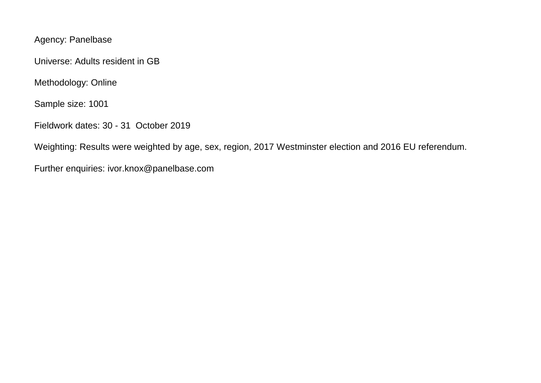Agency: Panelbase

Universe: Adults resident in GB

Methodology: Online

Sample size: 1001

Fieldwork dates: 30 - 31 October 2019

Weighting: Results were weighted by age, sex, region, 2017 Westminster election and 2016 EU referendum.

Further enquiries: ivor.knox@panelbase.com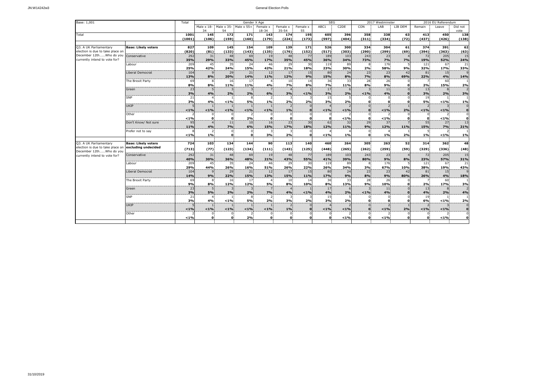| Base: 1,001                      |                            | Total      | Gender X Age |                      |                       |           |                 |              |            | <b>SEG</b>        |                | 2017 Westminster |          |              | 2016 EU Referendum             |               |  |
|----------------------------------|----------------------------|------------|--------------|----------------------|-----------------------|-----------|-----------------|--------------|------------|-------------------|----------------|------------------|----------|--------------|--------------------------------|---------------|--|
|                                  |                            |            | Male x 18-   |                      | Male x 35- Male x 55+ | Female x  | Female x        | Female x     | ABC1       | C <sub>2</sub> DE | CON            | LAB              | LIB DEM  | Remain       | Leave                          | Did not       |  |
| Total                            |                            |            | 34           | 54                   |                       | $18 - 34$ | $35 - 54$       | 55           |            |                   |                |                  |          |              |                                | vote          |  |
|                                  |                            | 1001       | 145          | 172                  | 171<br>(160)          | 143       | 174             | 195          | 605        | 396               | 358            | 338              | 63       | 413<br>(437) | 450                            | 138           |  |
|                                  |                            | (1001)     | (106)        | (159)                |                       | (179)     | (224)           | (173)        | (597)      | (404)             | (311)          | (334)            | (72)     |              | (426)                          | (138)         |  |
| Q3. A UK Parliamentary           | <b>Base: Likely voters</b> | 827        | 109          | 145                  | 154                   | 109       | 139             | 171          | 526        | 300               | 334            | 304              | 61       | 374          | 391                            | 62            |  |
| election is due to take place on |                            | (820)      | (81)         | (133)                | (143)                 | (135)     | (176)           | (152)        | (517)      | (303)             | (290)          | (299)            | (69)     | (394)        | (363)                          | (63)          |  |
| December 12thWho do you          | Conservative               | 292        | 31           | 48                   | 69                    | 19        | 48              | 77           | 189        | 103               | 243            | 23               |          | 72           | 205                            | 15            |  |
| currently intend to vote for?    |                            | 35%        | 29%          | 33%                  | 45%                   | 17%       | 35%             | 45%          | 36%        | 34%               | 73%            | 7%               | 7%       | 19%          | 52%                            | 24%           |  |
|                                  | Labour                     | 209        | 45           | 35                   | 24                    | 46        | 29              | 30           | 119        | 89                |                | 176              |          | 121          | 67                             | 21            |  |
|                                  |                            | 25%        | 42%          | 24%                  | 15%                   | 42%       | 21%             | 18%          | 23%        | 30%               | 2%             | 58%              | 9%       | 32%          | 17%                            | 33%           |  |
|                                  | Liberal Democrat           | 104        |              | 29                   | 21                    | 12        | 17              | 15           | 80         | 24                | 23             | 23               | 42       | 81           | 15                             |               |  |
|                                  |                            | 13%        | 8%           | 20%                  | 14%                   | 11%       | 12%             | 9%<br>14     | 15%<br>36  | 8%<br>33          | 7%             | 8%<br>26         | 69%      | 22%          | 4%<br>60                       | 14%           |  |
|                                  | The Brexit Party           | 69<br>8%   | 8%           | 16<br>11%            | 17<br>11%             | 4%        | 10<br><b>7%</b> | 8%           | <b>7%</b>  | 11%               | 28<br>8%       | 9%               | $\Omega$ | 2%           | 15%                            | 2%            |  |
|                                  | Green                      | 23         |              |                      |                       |           |                 |              | 17         |                   |                | 11               |          | 13           | 8                              |               |  |
|                                  |                            | 3%         | 4%           | 2%                   | 2%                    | 6%        | 3%              | $< 1\%$      | 3%         | 2%                | < 1%           | 4%               |          | 3%           | 2%                             | 3%            |  |
|                                  | <b>SNP</b>                 | 21<br>3%   | 4%           | $< 1\%$              | 8<br>5%               | 1%        | 3<br>2%         | 2%           | 15<br>3%   | 2%                | 0.             | O                | $\Omega$ | 19<br>5%     | $< 1\%$                        | 1%            |  |
|                                  | <b>UKIP</b>                |            |              |                      |                       |           | $\overline{z}$  |              |            |                   |                |                  |          |              |                                |               |  |
|                                  |                            | 1%         | < 1%         | < 1%                 | $< 1\%$               | < 1%      | 1%              |              | < 1%       | < 1%              | $\Omega$       | < 1%             | 2%       | < 1%         | < 1%                           | $\mathbf{0}$  |  |
|                                  | Other                      |            |              |                      |                       |           | $\mathbf{0}$    |              | 0          |                   |                |                  |          |              |                                |               |  |
|                                  |                            | < 1%       | n            | n                    | 2%                    | $\Omega$  | $\Omega$        |              | $\Omega$   | < 1%              | O              | $< 1\%$          |          | n            | 1%                             | $\rightarrow$ |  |
|                                  | Don't Know/ Not sure       | 95         |              | 11                   | 10                    | 16        | 23              | 30           | 62         | 32                | 29             | 37               |          | 55           | 27                             | 13            |  |
|                                  |                            | 11%        | 4%           | 7%                   | 6%                    | 15%       | 17%             | 18%          | 12%        | 11%               | 9%             | 12%              | 11%      | 15%          | <b>7%</b>                      | 21%           |  |
|                                  | Prefer not to say          | $< 1\%$    | 1%           | $\Omega$<br>$\Omega$ | $\Omega$<br>$\Omega$  | 3%        | 3.<br>2%        | $\mathbf{o}$ | < 1%       | 1%                | $\Omega$<br>O. | 1%               | 2%       | 1%           | $\overline{\phantom{0}}$<br>1% | 1%            |  |
|                                  |                            |            |              |                      |                       |           |                 |              |            |                   |                |                  |          |              |                                |               |  |
| Q3. A UK Parliamentary           | <b>Base: Likely voters</b> | 724        | 103          | 134                  | 144                   | 90        | 113             | 140          | 460        | 264               | 305            | 263              | 52       | 314          | 362                            | 48            |  |
| election is due to take place on | excluding undecided        | (713)      | (77)         | (123)                | (134)                 | (111)     | (143)           | (125)        | (448)      | (265)             | (262)          | (259)            | (59)     | (329)        | (336)                          | (48)          |  |
| December 12thWho do you          |                            |            |              |                      |                       |           |                 |              |            |                   |                |                  |          |              |                                |               |  |
| currently intend to vote for?    | Conservative               | 292<br>40% | 31<br>30%    | 48<br>36%            | 69<br>48%             | 19<br>21% | 48<br>43%       | 77<br>55%    | 189<br>41% | 103<br>39%        | 243<br>80%     | 23<br>9%         | 8%       | 72<br>23%    | 205<br>57%                     | 15<br>31%     |  |
|                                  | Labour                     | 209        | 45           | 35                   | 24                    | 46        | 29              | 30           | 119        | 89                |                | 176              |          | 121          | 67                             | 21            |  |
|                                  |                            | 29%        | 44%          | 26%                  | 16%                   | 51%       | 26%             | 22%          | 26%        | 34%               | 3%             | 67%              | 10%      | 38%          | 19%                            | 43%           |  |
|                                  | Liberal Democrat           | 104        |              | 29                   | 21                    | 12        | 17              | 15           | 80         | 24                | 23             | 23               | 42       | 81           | 15                             |               |  |
|                                  |                            | 14%        | 9%           | 22%                  | 15%                   | 13%       | 15%             | 11%          | 17%        | 9%                | 8%             | 9%               | 80%      | 26%          | 4%                             | 18%           |  |
|                                  | The Brexit Party           | 69         |              | 16                   | 17                    |           | 10              | 14           | 36         | 33                | 28             | 26               |          |              | 60                             |               |  |
|                                  |                            | 9%         | 8%           | 12%                  | 12%                   | 5%        | 8%              | 10%          | 8%         | 13%               | 9%             | 10%              |          | 2%           | 17%                            | 3%            |  |
|                                  | Green                      | 23         |              |                      | 3                     |           |                 |              | 17         |                   |                | 111              |          | 13           | 8                              |               |  |
|                                  | <b>SNP</b>                 | 3%<br>21   | 5%.          | 2%                   | 2%                    | 7%        | 4%              | $< 1\%$      | 4%<br>15   | 2%                | $< 1\%$        | 4%               |          | 4%           | 2%                             | 4%            |  |
|                                  |                            | 3%         | 4%           | < 1%                 | 5%                    | 2%        | 3%              | 2%           | 3%         | 2%                | C.             |                  |          | 19<br>6%     | < 1%                           | 2%            |  |
|                                  | <b>UKIP</b>                |            |              |                      |                       |           |                 |              |            |                   |                |                  |          |              |                                |               |  |
|                                  |                            | < 1%       | < 1%         | $< 1\%$              | < 1%                  | $< 1\%$   | 1%              |              | $< 1\%$    | < 1%              | $\Omega$       | < 1%             | 2%       | $< 1\%$      | < 1%                           |               |  |
|                                  | Other                      |            |              |                      |                       |           | $\Omega$        |              | $\Omega$   |                   |                |                  |          |              |                                |               |  |
|                                  |                            | < 1%       | n            | n                    | 2%                    | O         | $\Omega$        | $\Omega$     | 0          | < 1%              | 0              | < 1%             | $\Omega$ | U            | < 1%                           | $\Omega$      |  |
|                                  |                            |            |              |                      |                       |           |                 |              |            |                   |                |                  |          |              |                                |               |  |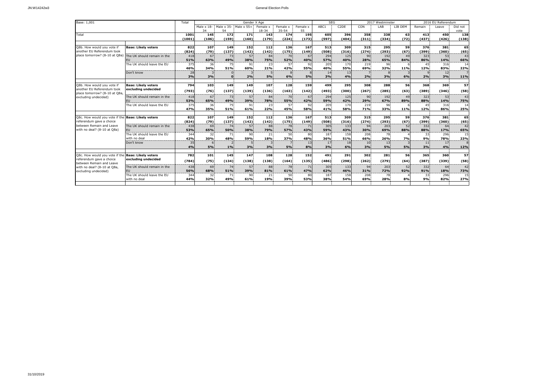| Base: 1,001                                                                               |                                                   | Total          | Gender X Age            |                                          |              |                       |                       |                |              | <b>SEG</b>        |              | 2017 Westminster      |            |              | 2016 EU Referendum |                 |  |
|-------------------------------------------------------------------------------------------|---------------------------------------------------|----------------|-------------------------|------------------------------------------|--------------|-----------------------|-----------------------|----------------|--------------|-------------------|--------------|-----------------------|------------|--------------|--------------------|-----------------|--|
|                                                                                           |                                                   |                | Male $\times$ 18-<br>21 | Male $\times$ 35-Male $\times$ 55+<br>54 |              | Female x<br>$18 - 34$ | Female x<br>$35 - 54$ | Female x<br>55 | ABC1         | C <sub>2</sub> DE | CON          | LAB                   | LIB DEM    | Remain       | Leave              | Did not<br>vote |  |
| Total                                                                                     |                                                   | 1001<br>(1001) | 145<br>(106)            | 172<br>(159)                             | 171<br>(160) | 143<br>(179)          | 174<br>(224)          | 195<br>(173)   | 605<br>(597) | 396<br>(404)      | 358<br>(311) | 338<br>(334)          | 63<br>(72) | 413<br>(437) | 450<br>(426)       | 138<br>(138)    |  |
|                                                                                           |                                                   |                |                         |                                          |              |                       |                       |                |              |                   |              |                       |            |              |                    |                 |  |
| O8b. How would you yote if<br>another EU Referendum took<br>place tomorrow? (8-10 at Q8a) | <b>Base: Likely voters</b>                        | 822<br>(824)   | 107<br>(79)             | 149<br>(137)                             | 152<br>(142) | 112<br>(142)          | 136<br>(175)          | 167<br>(149)   | 513<br>(508) | 309<br>(316)      | 315<br>(274) | 295<br>(293)          | 59<br>(67) | 376<br>(399) | 381<br>(360)       | 65<br>(65)      |  |
|                                                                                           | The UK should remain in the                       | 418<br>51%     | 67<br>63%               | 73<br>49%                                | 57<br>38%    | 84<br>75%             | 70<br>52%             | 67<br>40%      | 294<br>57%   | 125<br>40%        | 90<br>28%    | 192<br>65%            | 49<br>84%  | 323<br>86%   | 53<br>14%          | 43<br>66%       |  |
|                                                                                           | The UK should leave the EU                        | 375<br>46%     | 36<br>34%               | 75<br>51%                                | 91<br>60%    | 23<br>21%             | 57<br>42%             | 97<br>55%      | 205<br>40%   | 170<br>55%        | 219<br>69%   | 96<br>32%             | 11%        | 45<br>12%    | 316<br>83%         | 14<br>22%       |  |
|                                                                                           | Don't know                                        | 28<br>3%       | 3%                      |                                          | 2%           | <b>5%</b>             | 6%                    | 5%             | 14<br>3%     | 13<br>4%          | 2%           | 3%                    | 6%         | 2%           | 12<br>3%           | 11%             |  |
| Q8b. How would you vote if                                                                | <b>Base: Likely voters</b>                        | 794            | 103                     | 149                                      | 149          | 107                   | 128                   | 159            | 499          | 295               | 308          | 288                   | 56         | 368          | 369                | 57              |  |
| another EU Referendum took<br>place tomorrow? (8-10 at Q8a,<br>excluding undecided)       | excluding undecided                               | (793)          | (76)                    | (137)                                    | (139)        | (136)                 | (163)                 | (142)          | (493)        | (300)             | (267)        | (285)                 | (63)       | (389)        | (346)              | (58)            |  |
|                                                                                           | The UK should remain in the                       | 418<br>53%     | 67<br>65%               | 73<br>49%                                | 57<br>39%    | 84<br>78%             | 70<br>55%             | 67<br>42%      | 294<br>59%   | 125<br>42%        | 90<br>29%    | 192<br>67%            | 49<br>89%  | 323<br>88%   | 53<br>14%          | 43<br>75%       |  |
|                                                                                           | The UK should leave the EU                        | 375<br>47%     | 36<br>35%               | 75<br>51%                                | 91<br>61%    | 23<br>22%             | 57<br>45%             | 92<br>58%      | 205<br>41%   | 170<br>58%        | 219<br>71%   | 96<br>33%             | 11%        | 45<br>12%    | 316<br>86%         | 14<br>25%       |  |
|                                                                                           |                                                   |                |                         |                                          |              |                       |                       |                |              |                   |              |                       |            |              |                    |                 |  |
| Q8c. How would you vote if the<br>referendum gave a choice                                | <b>Base: Likely voters</b>                        | 822<br>(824)   | 107<br>(79)             | 149<br>(137)                             | 152<br>(142) | 112<br>(142)          | 136<br>(175)          | 167<br>(149)   | 513<br>(508) | 309<br>(316)      | 315<br>(274) | 295<br>(293)          | 59<br>(67) | 376<br>(399) | 381<br>(360)       | 65<br>(65)      |  |
| between Remain and Leave<br>with no deal? (8-10 at Q8a)                                   | The UK should remain in the                       | 438<br>53%     | 69<br>65%               | 74<br>50%                                | 57<br>38%    | 88<br>79%             | 78<br>57%             | 71<br>43%      | 305<br>59%   | 133<br>43%        | 94<br>30%    | 203<br>69%            | 52<br>88%  | 332<br>88%   | 64<br>17%          | 42<br>65%       |  |
|                                                                                           | The UK should leave the EU<br>with no deal        | 344<br>42%     | 32<br>30%               | 71<br>48%                                | 90<br>59%    | 21<br>18%             | 50<br>37%             | 80<br>48%      | 187<br>36%   | 158<br>51%        | 208<br>66%   | 78<br>26%             | 7%         | 33<br>9%     | 296<br>78%         | 15<br>23%       |  |
|                                                                                           | Don't know                                        | 35<br>4%       | 5%                      | 1%                                       | 3%           | 3%                    | 5%                    | 13<br>8%       | 17<br>3%     | 18<br>6%          | 10<br>3%     | 13 <sup>1</sup><br>5% | 5%         | 11<br>3%     | 17<br>4%           | 12%             |  |
|                                                                                           |                                                   |                |                         |                                          |              |                       |                       |                |              |                   |              |                       |            |              |                    |                 |  |
| Q8c. How would you vote if the<br>referendum gave a choice<br>between Remain and Leave    | <b>Base: Likely voters</b><br>excluding undecided | 782<br>(784)   | 101<br>(75)             | 145<br>(134)                             | 147<br>(138) | 108<br>(138)          | 128<br>(164)          | 152<br>(135)   | 491<br>(486) | 291<br>(298)      | 302<br>(262) | 281<br>(279)          | 56<br>(64) | 365<br>(387) | 360<br>(339)       | 57<br>(58)      |  |
| with no deal? (8-10 at Q8a,<br>excluding undecided)                                       | The UK should remain in the                       | 438<br>56%     | 69<br>68%               | 74<br>51%                                | 57<br>39%    | 88<br>81%             | 78<br>61%             | 71<br>47%      | 305<br>62%   | 133<br>46%        | 94<br>31%    | 203<br><b>72%</b>     | 52<br>92%  | 332<br>91%   | 64<br>18%          | 42<br>73%       |  |
|                                                                                           | The UK should leave the EU<br>with no deal        | 344<br>44%     | 32<br>32%               | 71<br>49%                                | 90<br>61%    | 21<br>19%             | 50<br>39%             | 80<br>53%      | 187<br>38%   | 158<br>54%        | 208<br>69%   | 78<br>28%             | 8%         | 33<br>9%     | 296<br>82%         | 15<br>27%       |  |
|                                                                                           |                                                   |                |                         |                                          |              |                       |                       |                |              |                   |              |                       |            |              |                    |                 |  |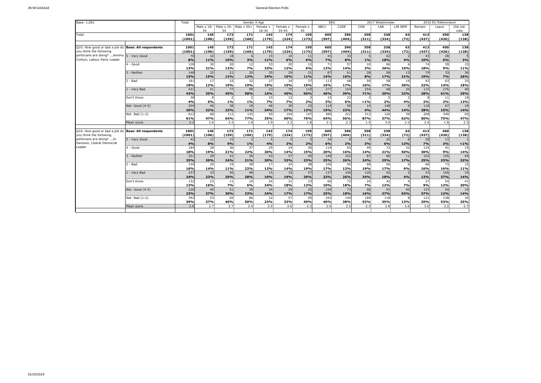| Base: 1,001                                                                    |                              | Total          | Gender X Age      |              |                                    |              |                 |              | <b>SEG</b>      |                   | 2017 Westminster |              |            | 2016 EU Referendum |              |           |
|--------------------------------------------------------------------------------|------------------------------|----------------|-------------------|--------------|------------------------------------|--------------|-----------------|--------------|-----------------|-------------------|------------------|--------------|------------|--------------------|--------------|-----------|
|                                                                                |                              |                | Male $\times$ 18- |              | Male $\times$ 35-Male $\times$ 55+ | Female x     | Female x        | Female x     | ABC1            | C <sub>2</sub> DE | CON              | LAB          | LIB DEM    | Remain             | Leave        | Did not   |
|                                                                                |                              |                | 34                | 54           |                                    | 18-34        | $35 - 54$       | 55           |                 |                   |                  |              |            |                    |              | vote      |
| Total                                                                          |                              | 1001           | 145               | 172          | 171                                | 143          | 174             | 195          | 605             | 396               | 358              | 338          | 63         | 413                | 450          | 138       |
|                                                                                |                              | (1001)         | (106)             | (159)        | (160)                              | (179)        | (224)           | (173)        | (597)           | (404)             | (311)            | (334)        | (72)       | (437)              | (426)        | (138)     |
|                                                                                |                              |                |                   |              |                                    |              |                 |              |                 |                   |                  |              |            |                    |              |           |
| Q10. How good or bad a job do Base: All respondents<br>you think the following |                              | 1001<br>(1001) | 145<br>(106)      | 172<br>(159) | 171<br>(160)                       | 143<br>(179) | 174<br>(224)    | 195<br>(173) | 605<br>(597)    | 396               | 358              | 338<br>(334) | 63<br>(72) | 413<br>(437)       | 450<br>(426) | 138       |
| politicians are doing?  Jeremy 5 - Very Good                                   |                              | 76             | 16                |              |                                    |              | 10 <sub>1</sub> | 11           | 43              | (404)<br>33       | (311)            | 62           |            | 43                 | 28           | (138)     |
| Corbyn, Labour Party Leader                                                    |                              | 8%             | 11%               | 18<br>10%    | 3%                                 | 15<br>11%    | 6%              | 6%           | 7%              | 8%                | 1%               | 18%          | 4%         | 10%                | 6%           | 3%        |
|                                                                                | 4 - Good                     | 128            | 30                | 20           | 12                                 | 33           | 20              | 12           | 71              | 57                | 10               | 86           |            | 74                 | 39           | 15        |
|                                                                                |                              | 13%            | 21%               | 12%          | <b>7%</b>                          | 23%          | 12%             | 6%           | 12%             | 14%               | 3%               | 26%          | 10%        | 18%                | 9%           | 11%       |
|                                                                                | 3 - Neither                  | 148            | 22                | 21           | 20                                 | 35           | 29              | 21           | 87              | 61                | 28               | 58           | 13         | 79                 | 33           | 36        |
|                                                                                |                              | 15%            | 15%               | 12%          | 12%                                | 24%          | 16%             | 11%          | 14%             | 16%               | 8%               | 17%          | 21%        | 19%                | 7%           | 26%       |
|                                                                                | ! - Bad                      | 181            | 17                | 33           | 32                                 | 27           | 34              | 37           | 113             | 68                | 59               | 58           | 19         | 92                 | 63           | 25        |
|                                                                                |                              | 18%            | 12%               | 19%          | 19%                                | 19%          | 19%             | 19%          | 19%             | 17%               | 16%              | 17%          | 30%        | 22%                | 14%          | 18%       |
|                                                                                | 1 - Verv Bad                 | 431            | 51                | 77           | 99.                                | 23           | 70.             | 110          | 277             | 154               | 254              | 68           | 20         | 115                | 276          | 40        |
|                                                                                |                              | 43%            | 35%               | 45%          | 58%                                | 16%          | 40%             | 56%          | 46%             | 39%               | 71%              | 20%          | 32%        | 28%                | 61%          | 29%       |
|                                                                                | Don't Know                   | 38             |                   |              | $\overline{z}$                     | 10           | 12              |              | 15 <sup>1</sup> | 22                |                  | 5            |            |                    | 11           | 18        |
|                                                                                |                              | 4%             | 6%                | 1%           | 1%                                 | 7%           | 7%              | 2%           | 3%              | 6%                | < 1%             | 2%           | 4%         | 2%                 | 2%           | 13%       |
|                                                                                | Net: Good (4-5)              | 204            | 46                | 38           | 18                                 | 48           | 30              | 23           | 114             | 90                | 14               | 148          |            | 118                | 67           | 19        |
|                                                                                |                              | 20%            | 32%               | 22%          | 11%                                | 34%          | 17%             | 12%          | 19%             | 23%               | 4%               | 44%          | 14%        | 28%                | 15%          | 14%       |
|                                                                                | Net: Bad (1-2)               | 612<br>61%     | 68<br>47%         | 111<br>64%   | 132<br><b>77%</b>                  | 50<br>35%    | 104<br>60%      | 147<br>76%   | 389<br>64%      | 222<br>56%        | 312<br>87%       | 126<br>37%   | 39<br>62%  | 208<br>50%         | 340<br>75%   | 65<br>47% |
|                                                                                | Mean score                   | 2.2            | 2.6               | 2.2          | 1.8                                | 2.9          | 2.2             | 1.8          | 2.1             | 2.3               | 1.5              | 3.0          | 2.2        | 2.6                | 1.8          | 2.3       |
|                                                                                |                              |                |                   |              |                                    |              |                 |              |                 |                   |                  |              |            |                    |              |           |
| Q10. How good or bad a job do                                                  | <b>Base: All respondents</b> | 1001           | 145               | 172          | 171                                | 143          | 174             | 195          | 605             | 396               | 358              | 338          | 63         | 413                | 450          | 138       |
| vou think the following                                                        |                              | (1001)         | (106)             | (159)        | (160)                              | (179)        | (224)           | (173)        | (597)           | (404)             | (311)            | (334)        | (72)       | (437)              | (426)        | (138)     |
| politicians are doing? Jo                                                      | 5 - Verv Good                | 42             | 12 <sup>1</sup>   | 15           |                                    |              |                 |              | 34              |                   |                  | 20           |            | 28                 | 13           |           |
| Swinson, Liberal Democrat                                                      |                              | 4%             | 8%                | 9%           | 1%                                 | 4%           | 3%              | 2%           | 6%              | 2%                | 3%               | 6%           | 13%        | 7%                 | 3%           | $1\%$     |
| Leader                                                                         | $4 - Good$                   | 184            | 28                | 36           | 37                                 | 29           | 24              | 30           | 119             | 65                | 49               | 72           | 32         | 125                | 41           | 19        |
|                                                                                |                              | 18%            | 19%               | 21%          | 22%                                | 20%          | <b>14%</b>      | 15%          | 20%             | 16%               | 14%              | 21%          | 50%        | 30%                | 9%           | 14%       |
|                                                                                | 3 - Neither                  | 251            | 29                | 41           | 36                                 | 43           | 57              | 45           | 149             | 102               | 87               | 86           | 11         | 102                | 105          | 44        |
|                                                                                |                              | 25%            | 20%               | 24%          | 21%                                | 30%          | 33%             | 23%          | 25%             | 26%               | 24%              | 25%          | 17%        | 25%                | 23%          | 32%       |
|                                                                                | $2 - Bad$                    | 156            | 20                | 19           | 38                                 | 17           | 24              | 38           | 106             | 50                | 68               | 56           |            | 68                 | 73           | 15        |
|                                                                                |                              | 16%            | 14%               | 11%          | 22%                                | 12%          | 14%             | 19%          | 17%             | 13%               | 19%              | 17%          | 9%         | 16%                | 16%          | 11%       |
|                                                                                | 1 - Verv Bad                 | 237<br>24%     | 33<br>23%         | 50<br>29%    | 48<br>28%                          | 15<br>10%    | 33<br>19%       | 57<br>29%    | 137<br>23%      | 100<br>25%        | 120<br>34%       | 62<br>18%    | 4%         | 53<br>13%          | 165<br>37%   | 19        |
|                                                                                | Don't Know                   | 132            | 23                | 11           | 10 <sup>1</sup>                    | 34           | 31              | 23           | 60              | 72                | 24               | 42           |            | 37                 | 54           | 14%<br>41 |
|                                                                                |                              | 13%            | 16%               | 7%           | 6%                                 | 24%          | 18%             | 12%          | 10%             | 18%               | <b>7%</b>        | 12%          | 7%         | 9%                 | 12%          | 30%       |
|                                                                                | Net: Good (4-5)              | 226            | 40                | 51           | 39 <sub>1</sub>                    | 34           | 29              | 33           | 154             | 73                | 58               | 91           | 40         | 153                | 54           | 19        |
|                                                                                |                              | 23%            | 27%               | 30%          | 23%                                | 24%          | 17%             | 17%          | 25%             | 18%               | 16%              | 27%          | 63%        | 37%                | 12%          | 14%       |
|                                                                                | Net: Bad (1-2)               | 392            | 53                | 69           | 86                                 | 32           | 57              | 95           | 243             | 149               | 189              | 118          |            | 121                | 238          | 34        |
|                                                                                |                              | 39%            | 37%               | 40%          | 50%                                | 23%          | 33%             | 49%          | 40%             | 38%               | 53%              | 35%          | 13%        | 29%                | 53%          | 25%       |
|                                                                                | Mean score                   | 2.6            | 2.7               | 2.7          | 2.4                                | 2.9          | 2.6             | 2.3          | 2.6             | 2.5               | 2.3              | 2.8          | 3.6        | 3.0                | 2.2          | 2.7       |
|                                                                                |                              |                |                   |              |                                    |              |                 |              |                 |                   |                  |              |            |                    |              |           |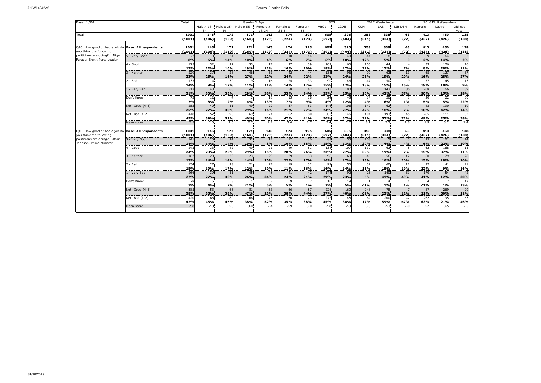| Base: 1,001                                              |                              | Total      | Gender X Age      |           |                                    |           |                 |           |            | <b>SEG</b>        | 2017 Westminster |            |           | 2016 EU Referendum |            |           |
|----------------------------------------------------------|------------------------------|------------|-------------------|-----------|------------------------------------|-----------|-----------------|-----------|------------|-------------------|------------------|------------|-----------|--------------------|------------|-----------|
|                                                          |                              |            | Male $\times$ 18- |           | Male $\times$ 35-Male $\times$ 55+ | Female x  | Female x        | Female x  | ABC1       | C <sub>2</sub> DE | CON              | LAB        | LIB DEM   | Remain             | Leave      | Did not   |
|                                                          |                              |            | 34                | 54        |                                    | 18-34     | $35 - 54$       | 55        |            |                   |                  |            |           |                    |            | vote      |
| Total                                                    |                              | 1001       | 145               | 172       | 171                                | 143       | 174             | 195       | 605        | 396               | 358              | 338        | 63        | 413                | 450        | 138       |
|                                                          |                              | (1001)     | (106)             | (159)     | (160)                              | (179)     | (224)           | (173)     | (597)      | (404)             | (311)            | (334)      | (72)      | (437)              | (426)      | (138)     |
|                                                          | <b>Base: All respondents</b> | 1001       | 145               | 172       | 171                                | 143       | 174             | 195       | 605        | 396               | 358              | 338        | 63        | 413                | 450        | 138       |
| Q10. How good or bad a job do<br>you think the following |                              | (1001)     | (106)             | (159)     | (160)                              | (179)     | (224)           | (173)     | (597)      | (404)             | (311)            | (334)      | (72)      | (437)              | (426)      | (138)     |
| politicians are doing? Nigel                             | 5 - Verv Good                | 77         | $\mathbf{R}$      | 24        | 16                                 | 6         | 10 <sub>1</sub> | 14        | 37         | 40                | 44               | 18         |           |                    | 64         |           |
| Farage, Brexit Party Leader                              |                              | 8%         | 6%                | 14%       | 10%                                | 4%        | 6%              | 7%        | 6%         | 10%               | 12%              | 5%         |           | 2%                 | 14%        | 2%        |
|                                                          | 4 - Good                     | 175        | 32                | 27        | 33                                 | 17        | 27              | 39        | 109        | 66                | 105              | 44         |           | 33                 | 126        | 16        |
|                                                          |                              | 17%        | 22%               | 16%       | 19%                                | 12%       | 16%             | 20%       | 18%        | 17%               | 29%              | 13%        | 7%        | 8%                 | 28%        | 11%       |
|                                                          | 3 - Neither                  | 229        | 37                | 28        | 46                                 | 31        | 42 <sup>1</sup> | 44        | 133        | 96                | 90               | 63         | 13        | 65                 | 127        | 37        |
|                                                          |                              | 23%        | 26%               | 16%       | 27%                                | 22%       | 24%             | 22%       | 22%        | 24%               | 25%              | 19%        | 20%       | 16%                | 28%        | 27%       |
|                                                          | ! - Bad                      | 135        | 14                | 30        | 19                                 | 16        | 24              | 33        | 90         | 46                | 47               | 50         |           | 77                 | 45         | 13        |
|                                                          |                              | 14%        | 9%                | 17%       | 11%                                | 11%       | 14%             | 17%       | 15%        | 12%               | 13%              | 15%        | 15%       | 19%                | 10%        | 9%        |
|                                                          | 1 - Verv Bad                 | 313<br>31% | 43<br>30%         | 60<br>35% | 49<br>29%                          | 55<br>38% | 58<br>33%       | 47<br>24% | 213<br>35% | 100<br>25%        | 57<br>16%        | 143<br>42% | 36<br>57% | 208<br>50%         | 66<br>15%  | 39<br>28% |
|                                                          | Don't Know                   | 72         | 12                |           |                                    | 18        | 13              | 18        | 24         | 48                | 14               | 20         |           | 20                 | 22         | 30        |
|                                                          |                              | 7%         | 8%                | 2%        | 4%                                 | 13%       | 7%              | 9%        | 4%         | 12%               | 4%               | 6%         | 1%        | 5%                 | 5%         | 22%       |
|                                                          | Net: Good (4-5)              | 252        | 40                | 51        | 49                                 | 22        | 37              | 53        | 146        | 106               | 149              | 62         |           | 43                 | 190        | 19        |
|                                                          |                              | 25%        | 27%               | 30%       | 29%                                | 16%       | 21%             | 27%       | 24%        | 27%               | 42%              | 18%        | 7%        | 10%                | 42%        |           |
|                                                          | Net: Bad (1-2)               | 448        | 57                | 90        | 69                                 | 71        | 82              | 80        | 303        | 146               | 104              | 193        | 45        | 285                | 111        | 14%<br>52 |
|                                                          |                              | 45%        | 39%               | 52%       | 40%                                | 50%       | 47%             | 41%       | 50%        | 37%               | 29%              | 57%        | 72%       | 69%                | 25%        | 38%       |
|                                                          | Mean score                   | 2.5        | 2.6               | 2.6       | 2.7                                | 2.2       | 2.4             | 2.7       | 2.4        | 2.7               | 3.1              | 2.2        | 1.8       | 1.9                | 3.2        | 2.4       |
|                                                          |                              |            |                   |           |                                    |           |                 |           |            |                   |                  |            |           |                    |            |           |
| Q10. How good or bad a job do                            | <b>Base: All respondents</b> | 1001       | 145               | 172       | 171                                | 143       | 174             | 195       | 605        | 396               | 358              | 338        | 63        | 413                | 450        | 138       |
| vou think the following<br>politicians are doing? Boris  |                              | (1001)     | (106)             | (159)     | (160)                              | (179)     | (224)           | (173)     | (597)      | (404)             | (311)            | (334)      | (72)      | (437)              | (426)      | (138)     |
| Johnson, Prime Minister                                  | 5 - Verv Good                | 141        | 20<br>14%         | 24<br>14% | 32<br>19%                          | 12<br>8%  | 17<br>10%       | 36<br>18% | 88<br>15%  | 53                | 108<br>30%       | 15<br>4%   | 4%        | 25<br>6%           | 101<br>22% | 14<br>10% |
|                                                          | $4 - Good$                   | 14%<br>245 | 33                | 42        | 49                                 | 21        | 49              | 51        | 138        | 13%<br>107        | 139              | 63         |           | 62                 | 168        | 15        |
|                                                          |                              | 24%        | 23%               | 25%       | 29%                                | 15%       | 28%             | 26%       | 23%        | 27%               | 39%              | 19%        | 7%        | 15%                | 37%        | 11%       |
|                                                          | 3 - Neither                  | 167        | 20                | 23        | 23                                 | 29        | 39              | 33        | 98         | 69                | 46               | 56         | 12        | 60                 | 79         | 28        |
|                                                          |                              | 17%        | 14%               | 14%       | 14%                                | 20%       | 22%             | 17%       | 16%        | 17%               | 13%              | 16%        | 20%       | 15%                | 18%        | 20%       |
|                                                          | $2 - Bad$                    | 154        | 27                | 28        | 21                                 | 27        | 19              | 32        | 97         | 56                | 39               | 60         | 12        | 92                 | 41         | 21        |
|                                                          |                              | 15%        | 19%               | 17%       | 12%                                | 19%       | 11%             | 16%       | 16%        | 14%               | 11%              | 18%        | 19%       | 22%                | 9%         | 16%       |
|                                                          | 1 - Verv Bad                 | 266        | 39                | 51        | 45                                 | 48        | 41              | 42        | 174        | 92                | 23               | 140        | 31        | 170                | 54         | 42        |
|                                                          |                              | 27%        | 27%               | 30%       | 26%                                | 34%       | 24%             | 21%       | 29%        | 23%               | 6%               | 41%        | 49%       | 41%                | 12%        | 30%       |
|                                                          | Don't Know                   | 28         |                   |           | < 1%                               | 5%        |                 |           | $10^{1}$   | 19                |                  |            | 1%        |                    |            | 17        |
|                                                          | Net: Good (4-5)              | 3%<br>385  | 4%<br>53          | 2%<br>66  | 81                                 | 33        | 5%<br>66        | 1%<br>87  | 2%<br>226  | 5%<br>160         | < 1%<br>248      | 1%<br>78   |           | $< 1\%$<br>87      | 1%<br>269  | 13%<br>29 |
|                                                          |                              | 38%        | 36%               | 38%       | 47%                                | 23%       | 38%             | 44%       | 37%        | 40%               | 69%              | 23%        | 12%       | 21%                | 60%        | 21%       |
|                                                          | Net: Bad (1-2)               | 420        | 66                | 80        | 66                                 | 75        | 60              | 73        | 272        | 148               | 62               | 200        | 42        | 262                | 95         | 63        |
|                                                          |                              | 42%        | 45%               | 46%       | 38%                                | 52%       | 35%             | 38%       | 45%        | 38%               | 17%              | 59%        | 67%       | 63%                | 21%        | 46%       |
|                                                          | Mean score                   | 2.8        | 2.8               | 2.8       | 3.0                                | 2.4       | 2.9             | 3.0       | 2.8        | 2.9               | 3.8              | 2.3        | 2.0       | 2.2                | 3.5        | 2.5       |
|                                                          |                              |            |                   |           |                                    |           |                 |           |            |                   |                  |            |           |                    |            |           |